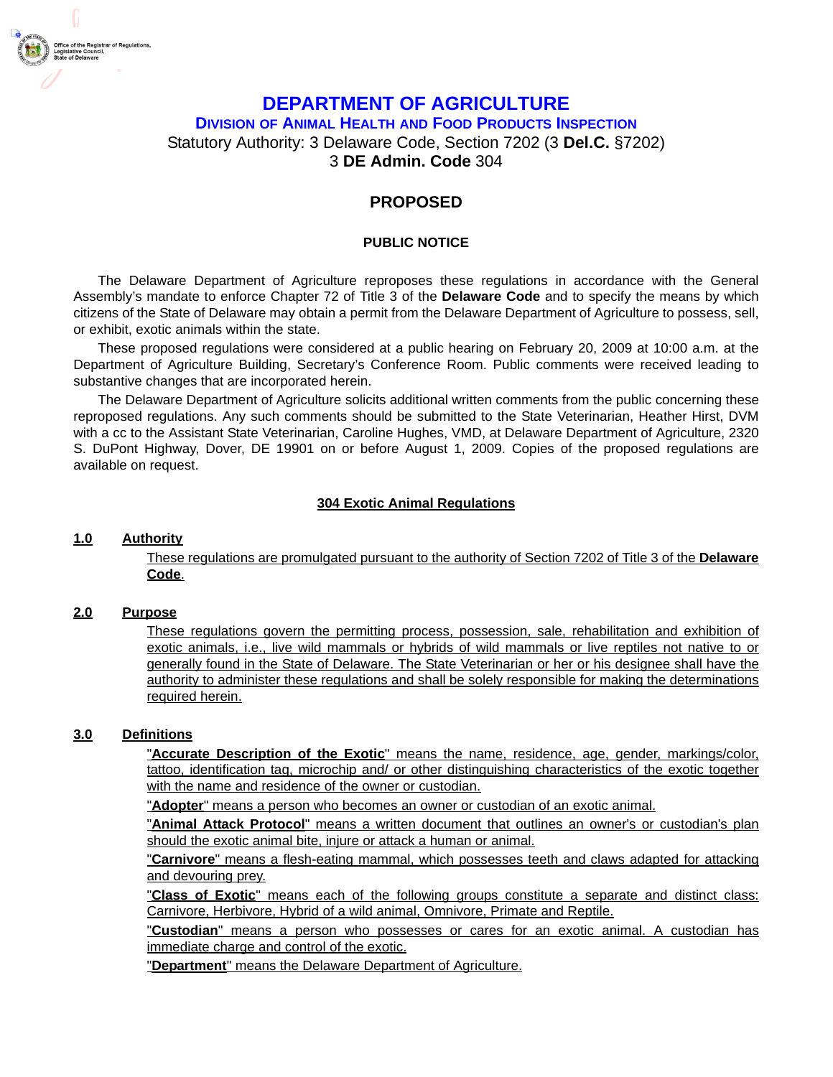

# **DEPARTMENT OF AGRICULTURE**

**DIVISION OF ANIMAL HEALTH AND FOOD PRODUCTS INSPECTION**

Statutory Authority: 3 Delaware Code, Section 7202 (3 **Del.C.** §7202)

# 3 **DE Admin. Code** 304

# **PROPOSED**

## **PUBLIC NOTICE**

The Delaware Department of Agriculture reproposes these regulations in accordance with the General Assembly's mandate to enforce Chapter 72 of Title 3 of the **Delaware Code** and to specify the means by which citizens of the State of Delaware may obtain a permit from the Delaware Department of Agriculture to possess, sell, or exhibit, exotic animals within the state.

These proposed regulations were considered at a public hearing on February 20, 2009 at 10:00 a.m. at the Department of Agriculture Building, Secretary's Conference Room. Public comments were received leading to substantive changes that are incorporated herein.

The Delaware Department of Agriculture solicits additional written comments from the public concerning these reproposed regulations. Any such comments should be submitted to the State Veterinarian, Heather Hirst, DVM with a cc to the Assistant State Veterinarian, Caroline Hughes, VMD, at Delaware Department of Agriculture, 2320 S. DuPont Highway, Dover, DE 19901 on or before August 1, 2009. Copies of the proposed regulations are available on request.

## **304 Exotic Animal Regulations**

## **1.0 Authority**

These regulations are promulgated pursuant to the authority of Section 7202 of Title 3 of the **Delaware Code**.

#### **2.0 Purpose**

These regulations govern the permitting process, possession, sale, rehabilitation and exhibition of exotic animals, i.e., live wild mammals or hybrids of wild mammals or live reptiles not native to or generally found in the State of Delaware. The State Veterinarian or her or his designee shall have the authority to administer these regulations and shall be solely responsible for making the determinations required herein.

#### **3.0 Definitions**

"**Accurate Description of the Exotic**" means the name, residence, age, gender, markings/color, tattoo, identification tag, microchip and/ or other distinguishing characteristics of the exotic together with the name and residence of the owner or custodian.

"**Adopter**" means a person who becomes an owner or custodian of an exotic animal.

"**Animal Attack Protocol**" means a written document that outlines an owner's or custodian's plan should the exotic animal bite, injure or attack a human or animal.

"**Carnivore**" means a flesh-eating mammal, which possesses teeth and claws adapted for attacking and devouring prey.

"**Class of Exotic**" means each of the following groups constitute a separate and distinct class: Carnivore, Herbivore, Hybrid of a wild animal, Omnivore, Primate and Reptile.

"**Custodian**" means a person who possesses or cares for an exotic animal. A custodian has immediate charge and control of the exotic.

"**Department**" means the Delaware Department of Agriculture.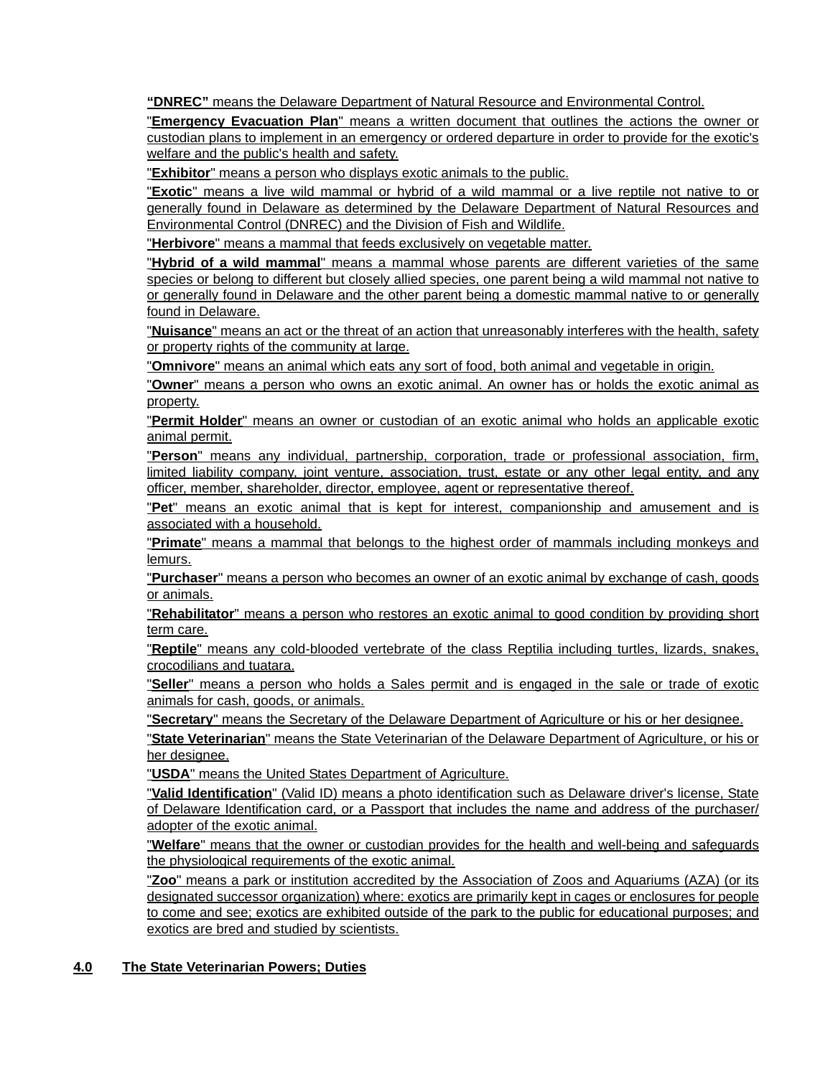**"DNREC"** means the Delaware Department of Natural Resource and Environmental Control.

"**Emergency Evacuation Plan**" means a written document that outlines the actions the owner or custodian plans to implement in an emergency or ordered departure in order to provide for the exotic's welfare and the public's health and safety.

"**Exhibitor**" means a person who displays exotic animals to the public.

"**Exotic**" means a live wild mammal or hybrid of a wild mammal or a live reptile not native to or generally found in Delaware as determined by the Delaware Department of Natural Resources and Environmental Control (DNREC) and the Division of Fish and Wildlife.

"**Herbivore**" means a mammal that feeds exclusively on vegetable matter.

"**Hybrid of a wild mammal**" means a mammal whose parents are different varieties of the same species or belong to different but closely allied species, one parent being a wild mammal not native to or generally found in Delaware and the other parent being a domestic mammal native to or generally found in Delaware.

"**Nuisance**" means an act or the threat of an action that unreasonably interferes with the health, safety or property rights of the community at large.

"**Omnivore**" means an animal which eats any sort of food, both animal and vegetable in origin.

"**Owner**" means a person who owns an exotic animal. An owner has or holds the exotic animal as property.

"**Permit Holder**" means an owner or custodian of an exotic animal who holds an applicable exotic animal permit.

"**Person**" means any individual, partnership, corporation, trade or professional association, firm, limited liability company, joint venture, association, trust, estate or any other legal entity, and any officer, member, shareholder, director, employee, agent or representative thereof.

"**Pet**" means an exotic animal that is kept for interest, companionship and amusement and is associated with a household.

"**Primate**" means a mammal that belongs to the highest order of mammals including monkeys and lemurs.

"**Purchaser**" means a person who becomes an owner of an exotic animal by exchange of cash, goods or animals.

"**Rehabilitator**" means a person who restores an exotic animal to good condition by providing short term care.

"**Reptile**" means any cold-blooded vertebrate of the class Reptilia including turtles, lizards, snakes, crocodilians and tuatara.

"**Seller**" means a person who holds a Sales permit and is engaged in the sale or trade of exotic animals for cash, goods, or animals.

"**Secretary**" means the Secretary of the Delaware Department of Agriculture or his or her designee.

"**State Veterinarian**" means the State Veterinarian of the Delaware Department of Agriculture, or his or her designee.

"**USDA**" means the United States Department of Agriculture.

"**Valid Identification**" (Valid ID) means a photo identification such as Delaware driver's license, State of Delaware Identification card, or a Passport that includes the name and address of the purchaser/ adopter of the exotic animal.

"**Welfare**" means that the owner or custodian provides for the health and well-being and safeguards the physiological requirements of the exotic animal.

"**Zoo**" means a park or institution accredited by the Association of Zoos and Aquariums (AZA) (or its designated successor organization) where: exotics are primarily kept in cages or enclosures for people to come and see; exotics are exhibited outside of the park to the public for educational purposes; and exotics are bred and studied by scientists.

#### **4.0 The State Veterinarian Powers; Duties**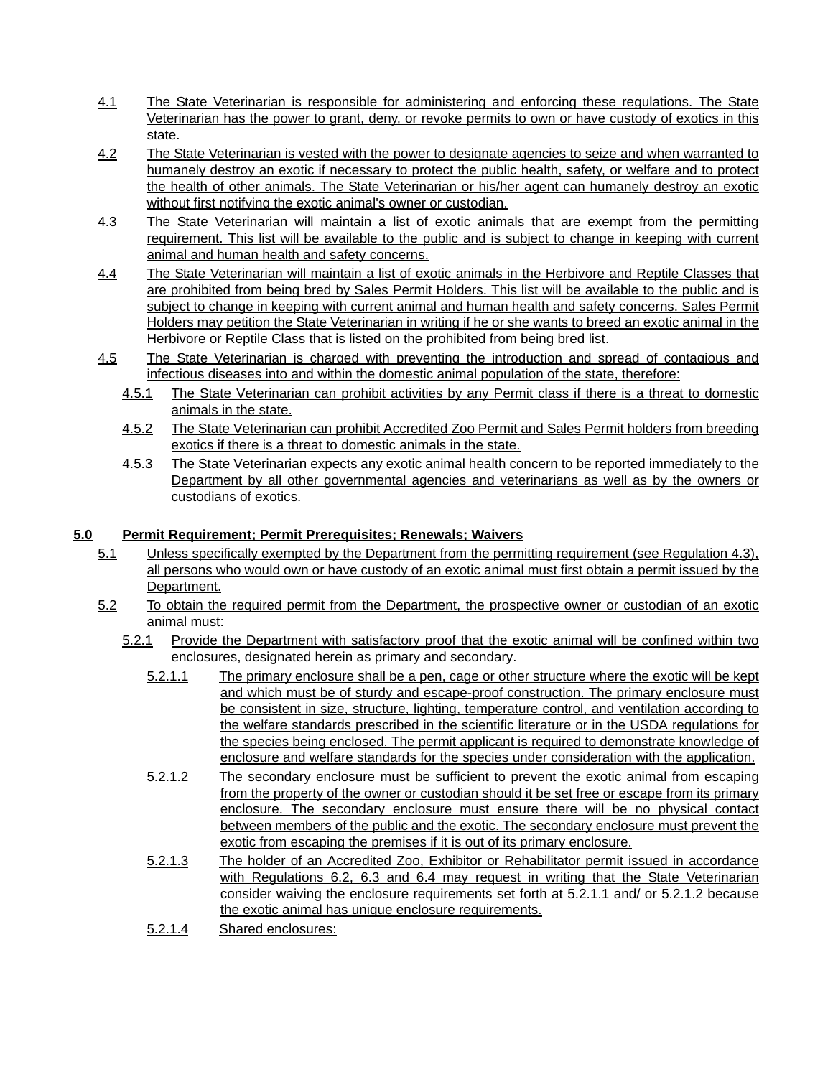- 4.1 The State Veterinarian is responsible for administering and enforcing these regulations. The State Veterinarian has the power to grant, deny, or revoke permits to own or have custody of exotics in this state.
- 4.2 The State Veterinarian is vested with the power to designate agencies to seize and when warranted to humanely destroy an exotic if necessary to protect the public health, safety, or welfare and to protect the health of other animals. The State Veterinarian or his/her agent can humanely destroy an exotic without first notifying the exotic animal's owner or custodian.
- 4.3 The State Veterinarian will maintain a list of exotic animals that are exempt from the permitting requirement. This list will be available to the public and is subject to change in keeping with current animal and human health and safety concerns.
- 4.4 The State Veterinarian will maintain a list of exotic animals in the Herbivore and Reptile Classes that are prohibited from being bred by Sales Permit Holders. This list will be available to the public and is subject to change in keeping with current animal and human health and safety concerns. Sales Permit Holders may petition the State Veterinarian in writing if he or she wants to breed an exotic animal in the Herbivore or Reptile Class that is listed on the prohibited from being bred list.
- 4.5 The State Veterinarian is charged with preventing the introduction and spread of contagious and infectious diseases into and within the domestic animal population of the state, therefore:
	- 4.5.1 The State Veterinarian can prohibit activities by any Permit class if there is a threat to domestic animals in the state.
	- 4.5.2 The State Veterinarian can prohibit Accredited Zoo Permit and Sales Permit holders from breeding exotics if there is a threat to domestic animals in the state.
	- 4.5.3 The State Veterinarian expects any exotic animal health concern to be reported immediately to the Department by all other governmental agencies and veterinarians as well as by the owners or custodians of exotics.

## **5.0 Permit Requirement; Permit Prerequisites; Renewals; Waivers**

- 5.1 Unless specifically exempted by the Department from the permitting requirement (see Regulation 4.3), all persons who would own or have custody of an exotic animal must first obtain a permit issued by the Department.
- 5.2 To obtain the required permit from the Department, the prospective owner or custodian of an exotic animal must:
	- 5.2.1 Provide the Department with satisfactory proof that the exotic animal will be confined within two enclosures, designated herein as primary and secondary.
		- 5.2.1.1 The primary enclosure shall be a pen, cage or other structure where the exotic will be kept and which must be of sturdy and escape-proof construction. The primary enclosure must be consistent in size, structure, lighting, temperature control, and ventilation according to the welfare standards prescribed in the scientific literature or in the USDA regulations for the species being enclosed. The permit applicant is required to demonstrate knowledge of enclosure and welfare standards for the species under consideration with the application.
		- 5.2.1.2 The secondary enclosure must be sufficient to prevent the exotic animal from escaping from the property of the owner or custodian should it be set free or escape from its primary enclosure. The secondary enclosure must ensure there will be no physical contact between members of the public and the exotic. The secondary enclosure must prevent the exotic from escaping the premises if it is out of its primary enclosure.
		- 5.2.1.3 The holder of an Accredited Zoo, Exhibitor or Rehabilitator permit issued in accordance with Regulations 6.2, 6.3 and 6.4 may request in writing that the State Veterinarian consider waiving the enclosure requirements set forth at 5.2.1.1 and/ or 5.2.1.2 because the exotic animal has unique enclosure requirements.
		- 5.2.1.4 Shared enclosures: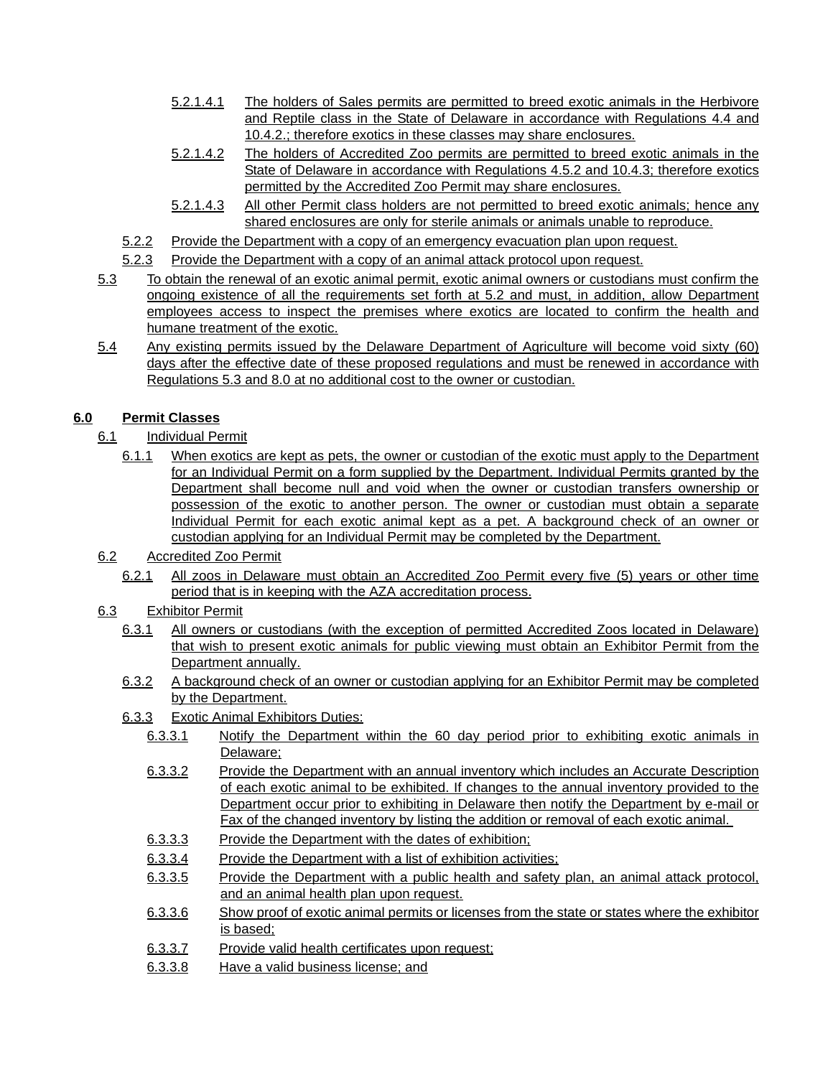- 5.2.1.4.1 The holders of Sales permits are permitted to breed exotic animals in the Herbivore and Reptile class in the State of Delaware in accordance with Regulations 4.4 and 10.4.2.; therefore exotics in these classes may share enclosures.
- 5.2.1.4.2 The holders of Accredited Zoo permits are permitted to breed exotic animals in the State of Delaware in accordance with Regulations 4.5.2 and 10.4.3; therefore exotics permitted by the Accredited Zoo Permit may share enclosures.
- 5.2.1.4.3 All other Permit class holders are not permitted to breed exotic animals; hence any shared enclosures are only for sterile animals or animals unable to reproduce.
- 5.2.2 Provide the Department with a copy of an emergency evacuation plan upon request.
- 5.2.3 Provide the Department with a copy of an animal attack protocol upon request.
- 5.3 To obtain the renewal of an exotic animal permit, exotic animal owners or custodians must confirm the ongoing existence of all the requirements set forth at 5.2 and must, in addition, allow Department employees access to inspect the premises where exotics are located to confirm the health and humane treatment of the exotic.
- 5.4 Any existing permits issued by the Delaware Department of Agriculture will become void sixty (60) days after the effective date of these proposed regulations and must be renewed in accordance with Regulations 5.3 and 8.0 at no additional cost to the owner or custodian.

# **6.0 Permit Classes**

- 6.1 Individual Permit
	- 6.1.1 When exotics are kept as pets, the owner or custodian of the exotic must apply to the Department for an Individual Permit on a form supplied by the Department. Individual Permits granted by the Department shall become null and void when the owner or custodian transfers ownership or possession of the exotic to another person. The owner or custodian must obtain a separate Individual Permit for each exotic animal kept as a pet. A background check of an owner or custodian applying for an Individual Permit may be completed by the Department.
- 6.2 Accredited Zoo Permit
	- 6.2.1 All zoos in Delaware must obtain an Accredited Zoo Permit every five (5) years or other time period that is in keeping with the AZA accreditation process.
- 6.3 Exhibitor Permit
	- 6.3.1 All owners or custodians (with the exception of permitted Accredited Zoos located in Delaware) that wish to present exotic animals for public viewing must obtain an Exhibitor Permit from the Department annually.
	- 6.3.2 A background check of an owner or custodian applying for an Exhibitor Permit may be completed by the Department.
	- 6.3.3 Exotic Animal Exhibitors Duties:
		- 6.3.3.1 Notify the Department within the 60 day period prior to exhibiting exotic animals in Delaware;
		- 6.3.3.2 Provide the Department with an annual inventory which includes an Accurate Description of each exotic animal to be exhibited. If changes to the annual inventory provided to the Department occur prior to exhibiting in Delaware then notify the Department by e-mail or Fax of the changed inventory by listing the addition or removal of each exotic animal.
		- 6.3.3.3 Provide the Department with the dates of exhibition;
		- 6.3.3.4 Provide the Department with a list of exhibition activities;
		- 6.3.3.5 Provide the Department with a public health and safety plan, an animal attack protocol, and an animal health plan upon request.
		- 6.3.3.6 Show proof of exotic animal permits or licenses from the state or states where the exhibitor is based;
		- 6.3.3.7 Provide valid health certificates upon request;
		- 6.3.3.8 Have a valid business license; and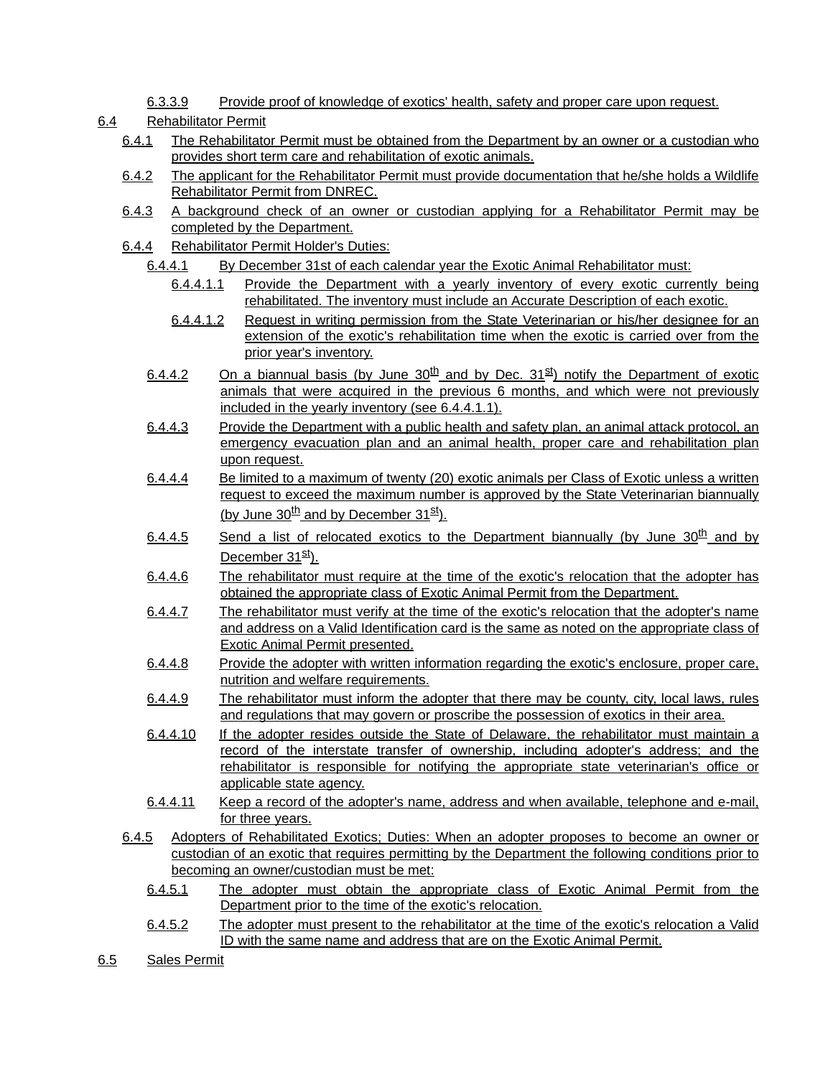## 6.3.3.9 Provide proof of knowledge of exotics' health, safety and proper care upon request.

## 6.4 Rehabilitator Permit

- 6.4.1 The Rehabilitator Permit must be obtained from the Department by an owner or a custodian who provides short term care and rehabilitation of exotic animals.
- 6.4.2 The applicant for the Rehabilitator Permit must provide documentation that he/she holds a Wildlife Rehabilitator Permit from DNREC.
- 6.4.3 A background check of an owner or custodian applying for a Rehabilitator Permit may be completed by the Department.
- 6.4.4 Rehabilitator Permit Holder's Duties:
	- 6.4.4.1 By December 31st of each calendar year the Exotic Animal Rehabilitator must:
		- 6.4.4.1.1 Provide the Department with a yearly inventory of every exotic currently being rehabilitated. The inventory must include an Accurate Description of each exotic.
		- 6.4.4.1.2 Request in writing permission from the State Veterinarian or his/her designee for an extension of the exotic's rehabilitation time when the exotic is carried over from the prior year's inventory.
	- 6.4.4.2 On a biannual basis (by June  $30^{th}$  and by Dec.  $31^{st}$ ) notify the Department of exotic animals that were acquired in the previous 6 months, and which were not previously included in the yearly inventory (see 6.4.4.1.1).
	- 6.4.4.3 Provide the Department with a public health and safety plan, an animal attack protocol, an emergency evacuation plan and an animal health, proper care and rehabilitation plan upon request.
	- 6.4.4.4 Be limited to a maximum of twenty (20) exotic animals per Class of Exotic unless a written request to exceed the maximum number is approved by the State Veterinarian biannually (by June  $30<sup>th</sup>$  and by December  $31<sup>st</sup>$ ).
	- 6.4.4.5 Send a list of relocated exotics to the Department biannually (by June  $30<sup>th</sup>$  and by December  $31^{st}$ ).
	- 6.4.4.6 The rehabilitator must require at the time of the exotic's relocation that the adopter has obtained the appropriate class of Exotic Animal Permit from the Department.
	- 6.4.4.7 The rehabilitator must verify at the time of the exotic's relocation that the adopter's name and address on a Valid Identification card is the same as noted on the appropriate class of Exotic Animal Permit presented.
	- 6.4.4.8 Provide the adopter with written information regarding the exotic's enclosure, proper care, nutrition and welfare requirements.
	- 6.4.4.9 The rehabilitator must inform the adopter that there may be county, city, local laws, rules and regulations that may govern or proscribe the possession of exotics in their area.
	- 6.4.4.10 If the adopter resides outside the State of Delaware, the rehabilitator must maintain a record of the interstate transfer of ownership, including adopter's address; and the rehabilitator is responsible for notifying the appropriate state veterinarian's office or applicable state agency.
	- 6.4.4.11 Keep a record of the adopter's name, address and when available, telephone and e-mail, for three years.
- 6.4.5 Adopters of Rehabilitated Exotics; Duties: When an adopter proposes to become an owner or custodian of an exotic that requires permitting by the Department the following conditions prior to becoming an owner/custodian must be met:
	- 6.4.5.1 The adopter must obtain the appropriate class of Exotic Animal Permit from the Department prior to the time of the exotic's relocation.
	- 6.4.5.2 The adopter must present to the rehabilitator at the time of the exotic's relocation a Valid ID with the same name and address that are on the Exotic Animal Permit.
- 6.5 Sales Permit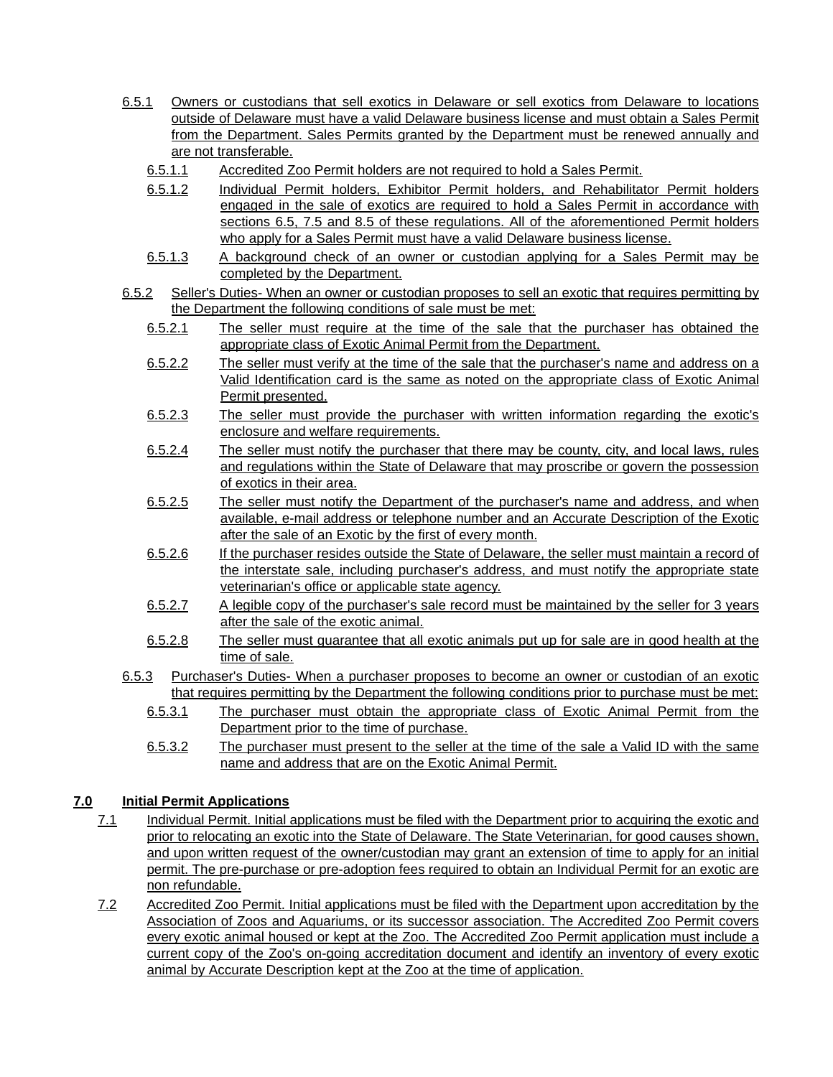- 6.5.1 Owners or custodians that sell exotics in Delaware or sell exotics from Delaware to locations outside of Delaware must have a valid Delaware business license and must obtain a Sales Permit from the Department. Sales Permits granted by the Department must be renewed annually and are not transferable.
	- 6.5.1.1 Accredited Zoo Permit holders are not required to hold a Sales Permit.
	- 6.5.1.2 Individual Permit holders, Exhibitor Permit holders, and Rehabilitator Permit holders engaged in the sale of exotics are required to hold a Sales Permit in accordance with sections 6.5, 7.5 and 8.5 of these regulations. All of the aforementioned Permit holders who apply for a Sales Permit must have a valid Delaware business license.
	- 6.5.1.3 A background check of an owner or custodian applying for a Sales Permit may be completed by the Department.
- 6.5.2 Seller's Duties- When an owner or custodian proposes to sell an exotic that requires permitting by the Department the following conditions of sale must be met:
	- 6.5.2.1 The seller must require at the time of the sale that the purchaser has obtained the appropriate class of Exotic Animal Permit from the Department.
	- 6.5.2.2 The seller must verify at the time of the sale that the purchaser's name and address on a Valid Identification card is the same as noted on the appropriate class of Exotic Animal Permit presented.
	- 6.5.2.3 The seller must provide the purchaser with written information regarding the exotic's enclosure and welfare requirements.
	- 6.5.2.4 The seller must notify the purchaser that there may be county, city, and local laws, rules and regulations within the State of Delaware that may proscribe or govern the possession of exotics in their area.
	- 6.5.2.5 The seller must notify the Department of the purchaser's name and address, and when available, e-mail address or telephone number and an Accurate Description of the Exotic after the sale of an Exotic by the first of every month.
	- 6.5.2.6 If the purchaser resides outside the State of Delaware, the seller must maintain a record of the interstate sale, including purchaser's address, and must notify the appropriate state veterinarian's office or applicable state agency.
	- 6.5.2.7 A legible copy of the purchaser's sale record must be maintained by the seller for 3 years after the sale of the exotic animal.
	- 6.5.2.8 The seller must guarantee that all exotic animals put up for sale are in good health at the time of sale.
- 6.5.3 Purchaser's Duties- When a purchaser proposes to become an owner or custodian of an exotic that requires permitting by the Department the following conditions prior to purchase must be met:
	- 6.5.3.1 The purchaser must obtain the appropriate class of Exotic Animal Permit from the Department prior to the time of purchase.
	- 6.5.3.2 The purchaser must present to the seller at the time of the sale a Valid ID with the same name and address that are on the Exotic Animal Permit.

## **7.0 Initial Permit Applications**

- 7.1 Individual Permit. Initial applications must be filed with the Department prior to acquiring the exotic and prior to relocating an exotic into the State of Delaware. The State Veterinarian, for good causes shown, and upon written request of the owner/custodian may grant an extension of time to apply for an initial permit. The pre-purchase or pre-adoption fees required to obtain an Individual Permit for an exotic are non refundable.
- 7.2 Accredited Zoo Permit. Initial applications must be filed with the Department upon accreditation by the Association of Zoos and Aquariums, or its successor association. The Accredited Zoo Permit covers every exotic animal housed or kept at the Zoo. The Accredited Zoo Permit application must include a current copy of the Zoo's on-going accreditation document and identify an inventory of every exotic animal by Accurate Description kept at the Zoo at the time of application.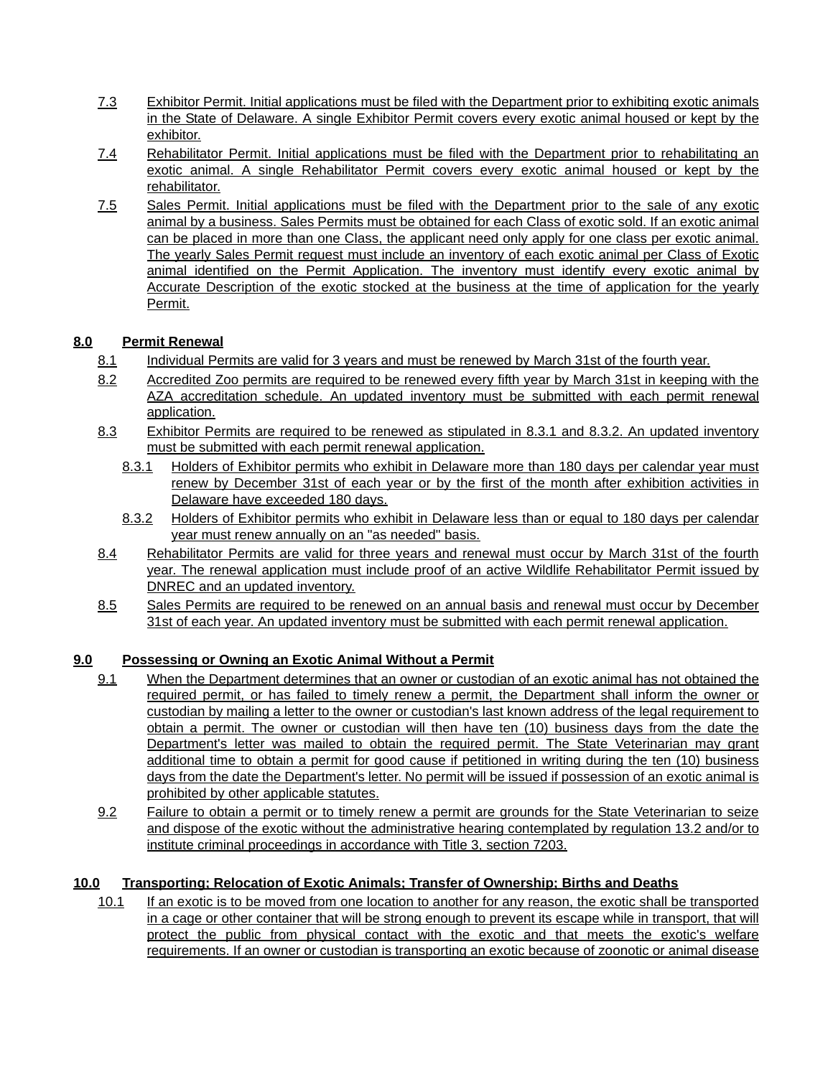- 7.3 Exhibitor Permit. Initial applications must be filed with the Department prior to exhibiting exotic animals in the State of Delaware. A single Exhibitor Permit covers every exotic animal housed or kept by the exhibitor.
- 7.4 Rehabilitator Permit. Initial applications must be filed with the Department prior to rehabilitating an exotic animal. A single Rehabilitator Permit covers every exotic animal housed or kept by the rehabilitator.
- 7.5 Sales Permit. Initial applications must be filed with the Department prior to the sale of any exotic animal by a business. Sales Permits must be obtained for each Class of exotic sold. If an exotic animal can be placed in more than one Class, the applicant need only apply for one class per exotic animal. The yearly Sales Permit request must include an inventory of each exotic animal per Class of Exotic animal identified on the Permit Application. The inventory must identify every exotic animal by Accurate Description of the exotic stocked at the business at the time of application for the yearly Permit.

# **8.0 Permit Renewal**

- 8.1 Individual Permits are valid for 3 years and must be renewed by March 31st of the fourth year.
- 8.2 Accredited Zoo permits are required to be renewed every fifth year by March 31st in keeping with the AZA accreditation schedule. An updated inventory must be submitted with each permit renewal application.
- 8.3 Exhibitor Permits are required to be renewed as stipulated in 8.3.1 and 8.3.2. An updated inventory must be submitted with each permit renewal application.
	- 8.3.1 Holders of Exhibitor permits who exhibit in Delaware more than 180 days per calendar year must renew by December 31st of each year or by the first of the month after exhibition activities in Delaware have exceeded 180 days.
	- 8.3.2 Holders of Exhibitor permits who exhibit in Delaware less than or equal to 180 days per calendar year must renew annually on an "as needed" basis.
- 8.4 Rehabilitator Permits are valid for three years and renewal must occur by March 31st of the fourth year. The renewal application must include proof of an active Wildlife Rehabilitator Permit issued by DNREC and an updated inventory.
- 8.5 Sales Permits are required to be renewed on an annual basis and renewal must occur by December 31st of each year. An updated inventory must be submitted with each permit renewal application.

## **9.0 Possessing or Owning an Exotic Animal Without a Permit**

- 9.1 When the Department determines that an owner or custodian of an exotic animal has not obtained the required permit, or has failed to timely renew a permit, the Department shall inform the owner or custodian by mailing a letter to the owner or custodian's last known address of the legal requirement to obtain a permit. The owner or custodian will then have ten (10) business days from the date the Department's letter was mailed to obtain the required permit. The State Veterinarian may grant additional time to obtain a permit for good cause if petitioned in writing during the ten (10) business days from the date the Department's letter. No permit will be issued if possession of an exotic animal is prohibited by other applicable statutes.
- 9.2 Failure to obtain a permit or to timely renew a permit are grounds for the State Veterinarian to seize and dispose of the exotic without the administrative hearing contemplated by regulation 13.2 and/or to institute criminal proceedings in accordance with Title 3, section 7203.

# **10.0 Transporting; Relocation of Exotic Animals; Transfer of Ownership; Births and Deaths**

10.1 If an exotic is to be moved from one location to another for any reason, the exotic shall be transported in a cage or other container that will be strong enough to prevent its escape while in transport, that will protect the public from physical contact with the exotic and that meets the exotic's welfare requirements. If an owner or custodian is transporting an exotic because of zoonotic or animal disease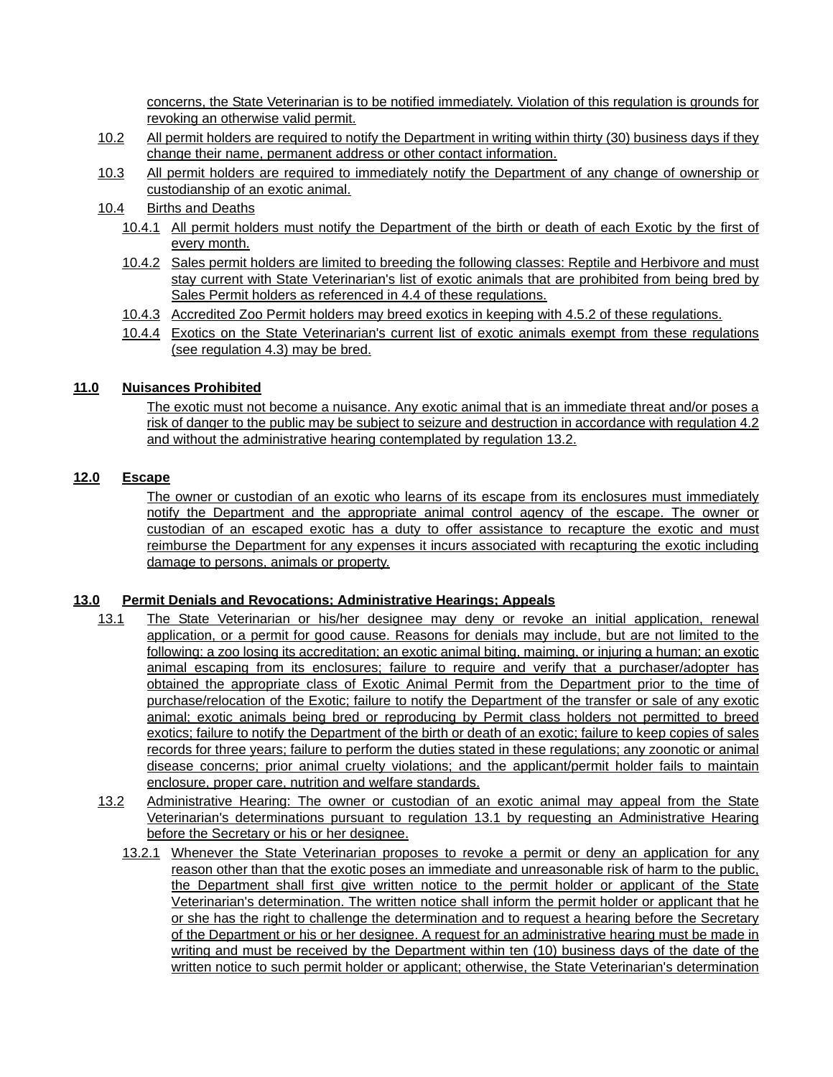concerns, the State Veterinarian is to be notified immediately. Violation of this regulation is grounds for revoking an otherwise valid permit.

- 10.2 All permit holders are required to notify the Department in writing within thirty (30) business days if they change their name, permanent address or other contact information.
- 10.3 All permit holders are required to immediately notify the Department of any change of ownership or custodianship of an exotic animal.
- 10.4 Births and Deaths
	- 10.4.1 All permit holders must notify the Department of the birth or death of each Exotic by the first of every month.
	- 10.4.2 Sales permit holders are limited to breeding the following classes: Reptile and Herbivore and must stay current with State Veterinarian's list of exotic animals that are prohibited from being bred by Sales Permit holders as referenced in 4.4 of these regulations.
	- 10.4.3 Accredited Zoo Permit holders may breed exotics in keeping with 4.5.2 of these regulations.
	- 10.4.4 Exotics on the State Veterinarian's current list of exotic animals exempt from these regulations (see regulation 4.3) may be bred.

## **11.0 Nuisances Prohibited**

The exotic must not become a nuisance. Any exotic animal that is an immediate threat and/or poses a risk of danger to the public may be subject to seizure and destruction in accordance with regulation 4.2 and without the administrative hearing contemplated by regulation 13.2.

## **12.0 Escape**

The owner or custodian of an exotic who learns of its escape from its enclosures must immediately notify the Department and the appropriate animal control agency of the escape. The owner or custodian of an escaped exotic has a duty to offer assistance to recapture the exotic and must reimburse the Department for any expenses it incurs associated with recapturing the exotic including damage to persons, animals or property.

#### **13.0 Permit Denials and Revocations; Administrative Hearings; Appeals**

- 13.1 The State Veterinarian or his/her designee may deny or revoke an initial application, renewal application, or a permit for good cause. Reasons for denials may include, but are not limited to the following: a zoo losing its accreditation; an exotic animal biting, maiming, or injuring a human; an exotic animal escaping from its enclosures; failure to require and verify that a purchaser/adopter has obtained the appropriate class of Exotic Animal Permit from the Department prior to the time of purchase/relocation of the Exotic; failure to notify the Department of the transfer or sale of any exotic animal; exotic animals being bred or reproducing by Permit class holders not permitted to breed exotics; failure to notify the Department of the birth or death of an exotic; failure to keep copies of sales records for three years; failure to perform the duties stated in these regulations; any zoonotic or animal disease concerns; prior animal cruelty violations; and the applicant/permit holder fails to maintain enclosure, proper care, nutrition and welfare standards.
- 13.2 Administrative Hearing: The owner or custodian of an exotic animal may appeal from the State Veterinarian's determinations pursuant to regulation 13.1 by requesting an Administrative Hearing before the Secretary or his or her designee.
	- 13.2.1 Whenever the State Veterinarian proposes to revoke a permit or deny an application for any reason other than that the exotic poses an immediate and unreasonable risk of harm to the public, the Department shall first give written notice to the permit holder or applicant of the State Veterinarian's determination. The written notice shall inform the permit holder or applicant that he or she has the right to challenge the determination and to request a hearing before the Secretary of the Department or his or her designee. A request for an administrative hearing must be made in writing and must be received by the Department within ten (10) business days of the date of the written notice to such permit holder or applicant; otherwise, the State Veterinarian's determination